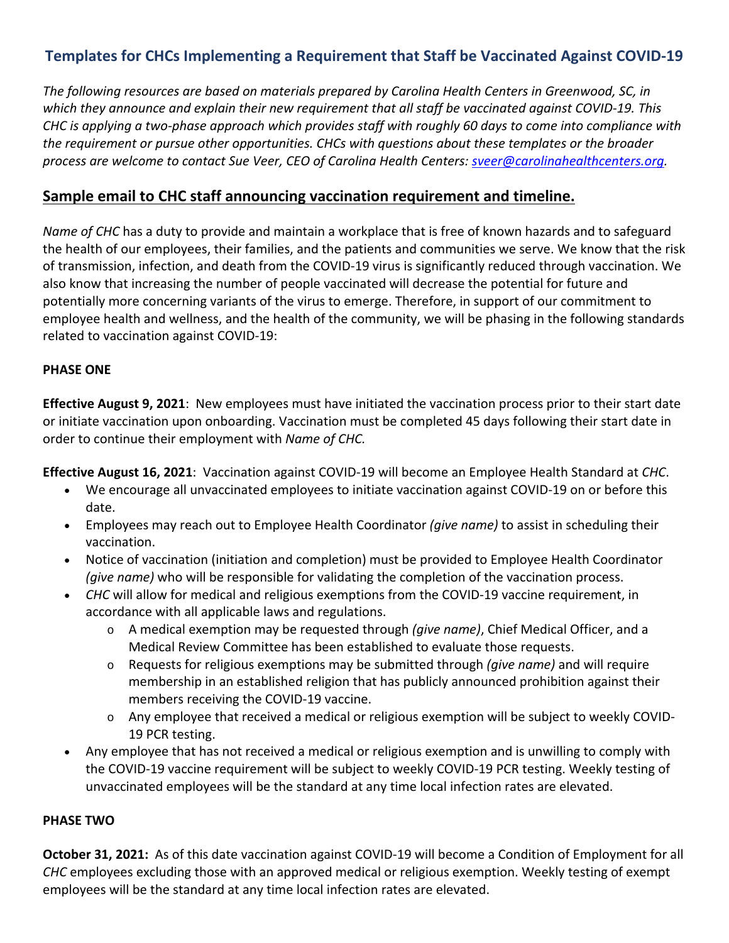# **Templates for CHCs Implementing a Requirement that Staff be Vaccinated Against COVID-19**

*The following resources are based on materials prepared by Carolina Health Centers in Greenwood, SC, in which they announce and explain their new requirement that all staff be vaccinated against COVID-19. This CHC is applying a two-phase approach which provides staff with roughly 60 days to come into compliance with the requirement or pursue other opportunities. CHCs with questions about these templates or the broader process are welcome to contact Sue Veer, CEO of Carolina Health Centers: [sveer@carolinahealthcenters.org.](mailto:sveer@carolinahealthcenters.org)*

## **Sample email to CHC staff announcing vaccination requirement and timeline.**

*Name of CHC* has a duty to provide and maintain a workplace that is free of known hazards and to safeguard the health of our employees, their families, and the patients and communities we serve. We know that the risk of transmission, infection, and death from the COVID-19 virus is significantly reduced through vaccination. We also know that increasing the number of people vaccinated will decrease the potential for future and potentially more concerning variants of the virus to emerge. Therefore, in support of our commitment to employee health and wellness, and the health of the community, we will be phasing in the following standards related to vaccination against COVID-19:

#### **PHASE ONE**

**Effective August 9, 2021**: New employees must have initiated the vaccination process prior to their start date or initiate vaccination upon onboarding. Vaccination must be completed 45 days following their start date in order to continue their employment with *Name of CHC.*

**Effective August 16, 2021**: Vaccination against COVID-19 will become an Employee Health Standard at *CHC*.

- We encourage all unvaccinated employees to initiate vaccination against COVID-19 on or before this date.
- Employees may reach out to Employee Health Coordinator *(give name)* to assist in scheduling their vaccination.
- Notice of vaccination (initiation and completion) must be provided to Employee Health Coordinator *(give name)* who will be responsible for validating the completion of the vaccination process.
- *CHC* will allow for medical and religious exemptions from the COVID-19 vaccine requirement, in accordance with all applicable laws and regulations.
	- o A medical exemption may be requested through *(give name)*, Chief Medical Officer, and a Medical Review Committee has been established to evaluate those requests.
	- o Requests for religious exemptions may be submitted through *(give name)* and will require membership in an established religion that has publicly announced prohibition against their members receiving the COVID-19 vaccine.
	- o Any employee that received a medical or religious exemption will be subject to weekly COVID-19 PCR testing.
- Any employee that has not received a medical or religious exemption and is unwilling to comply with the COVID-19 vaccine requirement will be subject to weekly COVID-19 PCR testing. Weekly testing of unvaccinated employees will be the standard at any time local infection rates are elevated.

#### **PHASE TWO**

**October 31, 2021:** As of this date vaccination against COVID-19 will become a Condition of Employment for all *CHC* employees excluding those with an approved medical or religious exemption. Weekly testing of exempt employees will be the standard at any time local infection rates are elevated.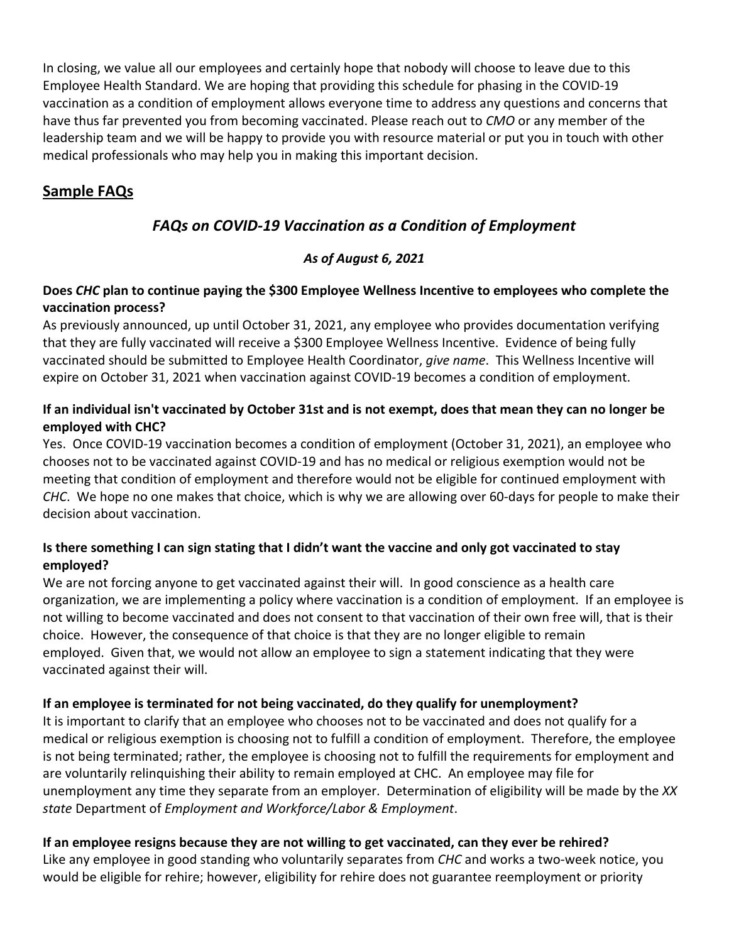In closing, we value all our employees and certainly hope that nobody will choose to leave due to this Employee Health Standard. We are hoping that providing this schedule for phasing in the COVID-19 vaccination as a condition of employment allows everyone time to address any questions and concerns that have thus far prevented you from becoming vaccinated. Please reach out to *CMO* or any member of the leadership team and we will be happy to provide you with resource material or put you in touch with other medical professionals who may help you in making this important decision.

# **Sample FAQs**

# *FAQs on COVID-19 Vaccination as a Condition of Employment*

## *As of August 6, 2021*

## **Does** *CHC* **plan to continue paying the \$300 Employee Wellness Incentive to employees who complete the vaccination process?**

As previously announced, up until October 31, 2021, any employee who provides documentation verifying that they are fully vaccinated will receive a \$300 Employee Wellness Incentive. Evidence of being fully vaccinated should be submitted to Employee Health Coordinator, *give name*. This Wellness Incentive will expire on October 31, 2021 when vaccination against COVID-19 becomes a condition of employment.

## **If an individual isn't vaccinated by October 31st and is not exempt, does that mean they can no longer be employed with CHC?**

Yes. Once COVID-19 vaccination becomes a condition of employment (October 31, 2021), an employee who chooses not to be vaccinated against COVID-19 and has no medical or religious exemption would not be meeting that condition of employment and therefore would not be eligible for continued employment with *CHC*. We hope no one makes that choice, which is why we are allowing over 60-days for people to make their decision about vaccination.

## **Is there something I can sign stating that I didn't want the vaccine and only got vaccinated to stay employed?**

We are not forcing anyone to get vaccinated against their will. In good conscience as a health care organization, we are implementing a policy where vaccination is a condition of employment. If an employee is not willing to become vaccinated and does not consent to that vaccination of their own free will, that is their choice. However, the consequence of that choice is that they are no longer eligible to remain employed. Given that, we would not allow an employee to sign a statement indicating that they were vaccinated against their will.

## **If an employee is terminated for not being vaccinated, do they qualify for unemployment?**

It is important to clarify that an employee who chooses not to be vaccinated and does not qualify for a medical or religious exemption is choosing not to fulfill a condition of employment. Therefore, the employee is not being terminated; rather, the employee is choosing not to fulfill the requirements for employment and are voluntarily relinquishing their ability to remain employed at CHC. An employee may file for unemployment any time they separate from an employer. Determination of eligibility will be made by the *XX state* Department of *Employment and Workforce/Labor & Employment*.

## **If an employee resigns because they are not willing to get vaccinated, can they ever be rehired?**

Like any employee in good standing who voluntarily separates from *CHC* and works a two-week notice, you would be eligible for rehire; however, eligibility for rehire does not guarantee reemployment or priority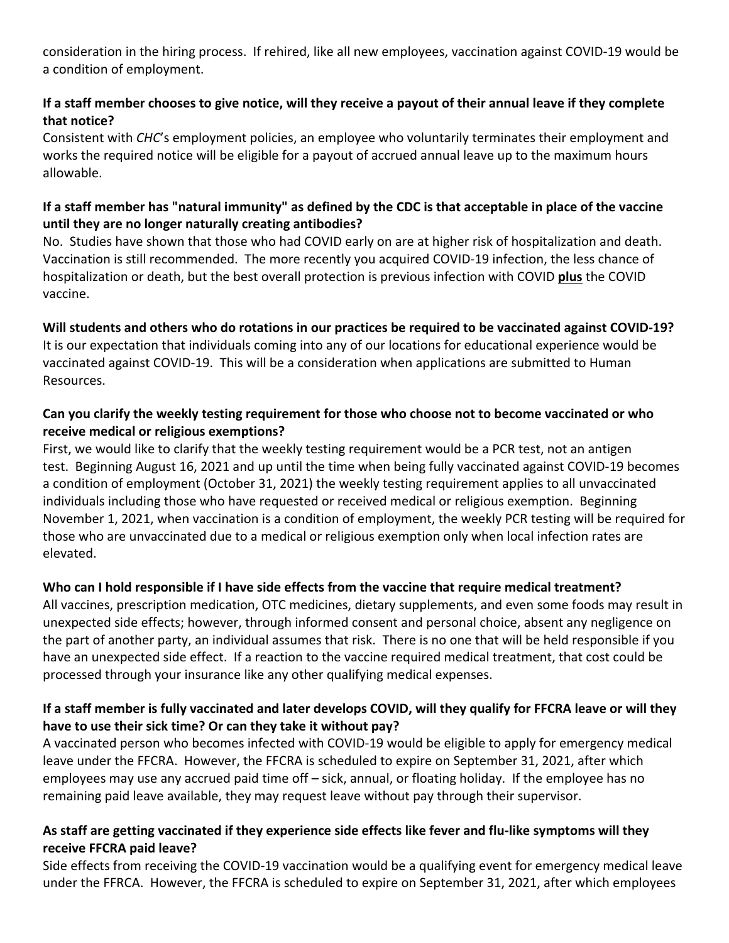consideration in the hiring process. If rehired, like all new employees, vaccination against COVID-19 would be a condition of employment.

## **If a staff member chooses to give notice, will they receive a payout of their annual leave if they complete that notice?**

Consistent with *CHC*'s employment policies, an employee who voluntarily terminates their employment and works the required notice will be eligible for a payout of accrued annual leave up to the maximum hours allowable.

## **If a staff member has "natural immunity" as defined by the CDC is that acceptable in place of the vaccine until they are no longer naturally creating antibodies?**

No. Studies have shown that those who had COVID early on are at higher risk of hospitalization and death. Vaccination is still recommended. The more recently you acquired COVID-19 infection, the less chance of hospitalization or death, but the best overall protection is previous infection with COVID **plus** the COVID vaccine.

## **Will students and others who do rotations in our practices be required to be vaccinated against COVID-19?**

It is our expectation that individuals coming into any of our locations for educational experience would be vaccinated against COVID-19. This will be a consideration when applications are submitted to Human Resources.

### **Can you clarify the weekly testing requirement for those who choose not to become vaccinated or who receive medical or religious exemptions?**

First, we would like to clarify that the weekly testing requirement would be a PCR test, not an antigen test. Beginning August 16, 2021 and up until the time when being fully vaccinated against COVID-19 becomes a condition of employment (October 31, 2021) the weekly testing requirement applies to all unvaccinated individuals including those who have requested or received medical or religious exemption. Beginning November 1, 2021, when vaccination is a condition of employment, the weekly PCR testing will be required for those who are unvaccinated due to a medical or religious exemption only when local infection rates are elevated.

### **Who can I hold responsible if I have side effects from the vaccine that require medical treatment?**

All vaccines, prescription medication, OTC medicines, dietary supplements, and even some foods may result in unexpected side effects; however, through informed consent and personal choice, absent any negligence on the part of another party, an individual assumes that risk. There is no one that will be held responsible if you have an unexpected side effect. If a reaction to the vaccine required medical treatment, that cost could be processed through your insurance like any other qualifying medical expenses.

### **If a staff member is fully vaccinated and later develops COVID, will they qualify for FFCRA leave or will they have to use their sick time? Or can they take it without pay?**

A vaccinated person who becomes infected with COVID-19 would be eligible to apply for emergency medical leave under the FFCRA. However, the FFCRA is scheduled to expire on September 31, 2021, after which employees may use any accrued paid time off – sick, annual, or floating holiday. If the employee has no remaining paid leave available, they may request leave without pay through their supervisor.

## **As staff are getting vaccinated if they experience side effects like fever and flu-like symptoms will they receive FFCRA paid leave?**

Side effects from receiving the COVID-19 vaccination would be a qualifying event for emergency medical leave under the FFRCA. However, the FFCRA is scheduled to expire on September 31, 2021, after which employees